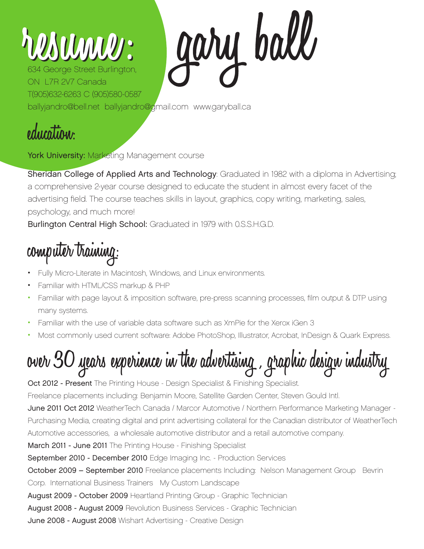## **MANALLES**

gary ball 634 George Street Burlington, ON L7R 2V7 Canada T(905)632-6263 C (905)580-0587 ballyjandro@bell.net ballyjandro@gmail.com www.garyball.ca

**education:**

York University: Marketing Management course

Sheridan College of Applied Arts and Technology: Graduated in 1982 with a diploma in Advertising; a comprehensive 2-year course designed to educate the student in almost every facet of the advertising field. The course teaches skills in layout, graphics, copy writing, marketing, sales, psychology, and much more!

Burlington Central High School: Graduated in 1979 with 0.S.S.H.G.D.

## **computer training:**

- Fully Micro-Literate in Macintosh, Windows, and Linux environments.
- Familiar with HTML/CSS markup & PHP
- Familiar with page layout & imposition software, pre-press scanning processes, film output & DTP using many systems.
- Familiar with the use of variable data software such as XmPie for the Xerox iGen 3
- Most commonly used current software: Adobe PhotoShop, Illustrator, Acrobat, InDesign & Quark Express.

**over 30 years experience in the advertising , graphic design industry**

Oct 2012 - Present The Printing House - Design Specialist & Finishing Specialist. Freelance placements including: Benjamin Moore, Satellite Garden Center, Steven Gould Intl. June 2011 Oct 2012 WeatherTech Canada / Marcor Automotive / Northern Performance Marketing Manager -Purchasing Media, creating digital and print advertising collateral for the Canadian distributor of WeatherTech Automotive accessories, a wholesale automotive distributor and a retail automotive company. March 2011 - June 2011 The Printing House - Finishing Specialist September 2010 - December 2010 Edge Imaging Inc. - Production Services October 2009 – September 2010 Freelance placements Including: Nelson Management Group Bevrin Corp. International Business Trainers My Custom Landscape August 2009 - October 2009 Heartland Printing Group - Graphic Technician August 2008 - August 2009 Revolution Business Services - Graphic Technician

June 2008 - August 2008 Wishart Advertising - Creative Design